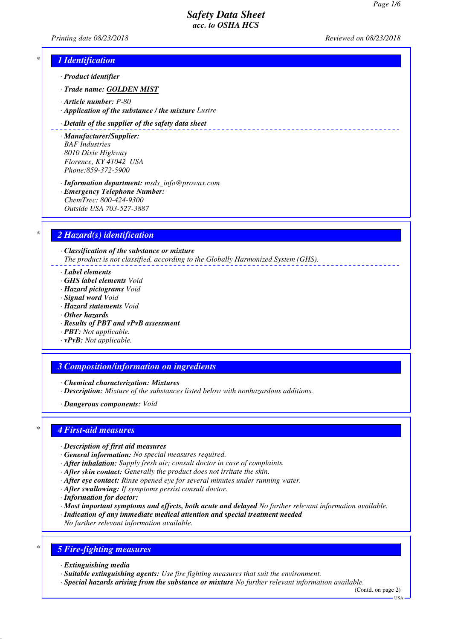*Printing date 08/23/2018 Reviewed on 08/23/2018*

# *\* 1 Identification*

- *· Product identifier*
- *· Trade name: GOLDEN MIST*
- *· Article number: P-80*
- *· Application of the substance / the mixture Lustre*

#### *· Details of the supplier of the safety data sheet*

- *· Manufacturer/Supplier: BAF Industries 8010 Dixie Highway Florence, KY 41042 USA Phone:859-372-5900*
- *· Information department: msds\_info@prowax.com · Emergency Telephone Number: ChemTrec: 800-424-9300 Outside USA 703-527-3887*

# *\* 2 Hazard(s) identification*

*· Classification of the substance or mixture The product is not classified, according to the Globally Harmonized System (GHS).*

- *· Label elements*
- *· GHS label elements Void*
- *· Hazard pictograms Void*
- *· Signal word Void*
- *· Hazard statements Void*
- *· Other hazards*
- *· Results of PBT and vPvB assessment*
- *· PBT: Not applicable.*
- *· vPvB: Not applicable.*

### *3 Composition/information on ingredients*

- *· Chemical characterization: Mixtures*
- *· Description: Mixture of the substances listed below with nonhazardous additions.*
- *· Dangerous components: Void*

### *\* 4 First-aid measures*

- *· Description of first aid measures*
- *· General information: No special measures required.*
- *· After inhalation: Supply fresh air; consult doctor in case of complaints.*
- *· After skin contact: Generally the product does not irritate the skin.*
- *· After eye contact: Rinse opened eye for several minutes under running water.*
- *· After swallowing: If symptoms persist consult doctor.*
- *· Information for doctor:*
- *· Most important symptoms and effects, both acute and delayed No further relevant information available.*
- *· Indication of any immediate medical attention and special treatment needed*
- *No further relevant information available.*

# *\* 5 Fire-fighting measures*

- *· Extinguishing media*
- *· Suitable extinguishing agents: Use fire fighting measures that suit the environment.*
- *· Special hazards arising from the substance or mixture No further relevant information available.*

(Contd. on page 2)  $-1$ ISA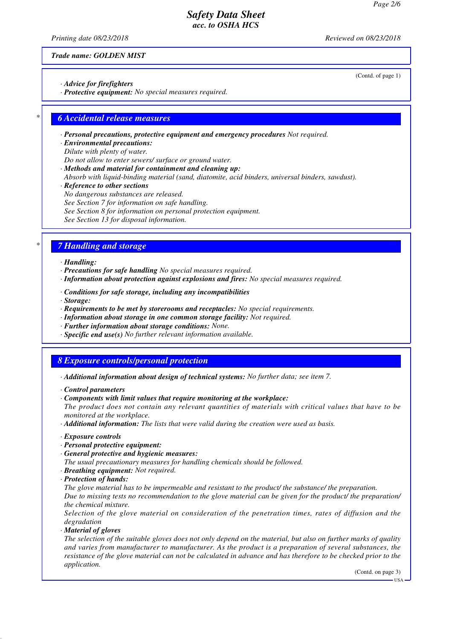*Printing date 08/23/2018 Reviewed on 08/23/2018*

(Contd. of page 1)

*Trade name: GOLDEN MIST*

- *· Advice for firefighters*
- *· Protective equipment: No special measures required.*

### *\* 6 Accidental release measures*

- *· Personal precautions, protective equipment and emergency procedures Not required.*
- *· Environmental precautions:*
- *Dilute with plenty of water.*
- *Do not allow to enter sewers/ surface or ground water.*
- *· Methods and material for containment and cleaning up:*
- *Absorb with liquid-binding material (sand, diatomite, acid binders, universal binders, sawdust).*
- *· Reference to other sections*
- *No dangerous substances are released.*
- *See Section 7 for information on safe handling.*
- *See Section 8 for information on personal protection equipment.*
- *See Section 13 for disposal information.*

### *\* 7 Handling and storage*

- *· Handling:*
- *· Precautions for safe handling No special measures required.*
- *· Information about protection against explosions and fires: No special measures required.*
- *· Conditions for safe storage, including any incompatibilities*
- *· Storage:*
- *· Requirements to be met by storerooms and receptacles: No special requirements.*
- *· Information about storage in one common storage facility: Not required.*
- *· Further information about storage conditions: None.*
- *· Specific end use(s) No further relevant information available.*

### *8 Exposure controls/personal protection*

- *· Additional information about design of technical systems: No further data; see item 7.*
- *· Control parameters*
- *· Components with limit values that require monitoring at the workplace:*
- *The product does not contain any relevant quantities of materials with critical values that have to be monitored at the workplace.*
- *· Additional information: The lists that were valid during the creation were used as basis.*
- *· Exposure controls*
- *· Personal protective equipment:*
- *· General protective and hygienic measures:*
- *The usual precautionary measures for handling chemicals should be followed.*
- *· Breathing equipment: Not required.*
- *· Protection of hands:*

*The glove material has to be impermeable and resistant to the product/ the substance/ the preparation. Due to missing tests no recommendation to the glove material can be given for the product/ the preparation/ the chemical mixture.*

*Selection of the glove material on consideration of the penetration times, rates of diffusion and the degradation*

*· Material of gloves*

*The selection of the suitable gloves does not only depend on the material, but also on further marks of quality and varies from manufacturer to manufacturer. As the product is a preparation of several substances, the resistance of the glove material can not be calculated in advance and has therefore to be checked prior to the application.*

(Contd. on page 3)

 $-11S_A$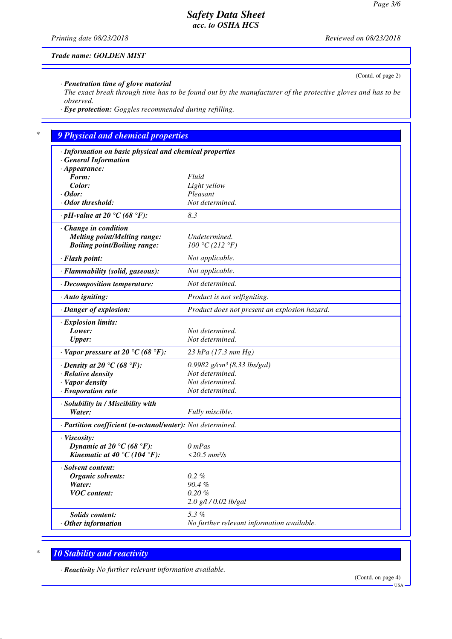*Printing date 08/23/2018 Reviewed on 08/23/2018*

(Contd. of page 2)

*Trade name: GOLDEN MIST*

*· Penetration time of glove material*

*The exact break through time has to be found out by the manufacturer of the protective gloves and has to be observed.*

*· Eye protection: Goggles recommended during refilling.*

# *\* 9 Physical and chemical properties*

| · Information on basic physical and chemical properties    |                                               |
|------------------------------------------------------------|-----------------------------------------------|
| <b>General Information</b>                                 |                                               |
| $\cdot$ Appearance:                                        |                                               |
| Form:                                                      | Fluid                                         |
| Color:                                                     | Light yellow                                  |
| $\cdot$ Odor:                                              | Pleasant                                      |
| · Odor threshold:                                          | Not determined.                               |
| $\cdot$ pH-value at 20 °C (68 °F):                         | 8.3                                           |
| $\cdot$ Change in condition                                |                                               |
| <b>Melting point/Melting range:</b>                        | Undetermined.                                 |
| <b>Boiling point/Boiling range:</b>                        | 100 °C (212 °F)                               |
| · Flash point:                                             | Not applicable.                               |
| · Flammability (solid, gaseous):                           | Not applicable.                               |
| · Decomposition temperature:                               | Not determined.                               |
| $\cdot$ Auto igniting:                                     | Product is not selfigniting.                  |
| · Danger of explosion:                                     | Product does not present an explosion hazard. |
| $\cdot$ Explosion limits:                                  |                                               |
| Lower:                                                     | Not determined.                               |
| <b>Upper:</b>                                              | Not determined.                               |
| $\cdot$ Vapor pressure at 20 °C (68 °F):                   | $23$ hPa (17.3 mm Hg)                         |
| $\cdot$ Density at 20 °C (68 °F):                          | 0.9982 $g/cm^3$ (8.33 lbs/gal)                |
| · Relative density                                         | Not determined.                               |
| · Vapor density                                            | Not determined.                               |
| $\cdot$ Evaporation rate                                   | Not determined.                               |
| · Solubility in / Miscibility with                         |                                               |
| Water:                                                     | Fully miscible.                               |
| · Partition coefficient (n-octanol/water): Not determined. |                                               |
| · Viscosity:                                               |                                               |
| Dynamic at 20 °C (68 °F):                                  | $0$ mPas                                      |
| Kinematic at 40 °C (104 °F):                               | $<20.5$ mm $2/s$                              |
| · Solvent content:                                         |                                               |
| Organic solvents:                                          | $0.2\%$                                       |
| Water:                                                     | 90.4%                                         |
| <b>VOC</b> content:                                        | $0.20 \%$                                     |
|                                                            | 2.0 g/l / 0.02 lb/gal                         |
| <b>Solids content:</b>                                     | 5.3%                                          |
| $·$ Other information                                      | No further relevant information available.    |
|                                                            |                                               |

# *\* 10 Stability and reactivity*

*· Reactivity No further relevant information available.*

(Contd. on page 4)

USA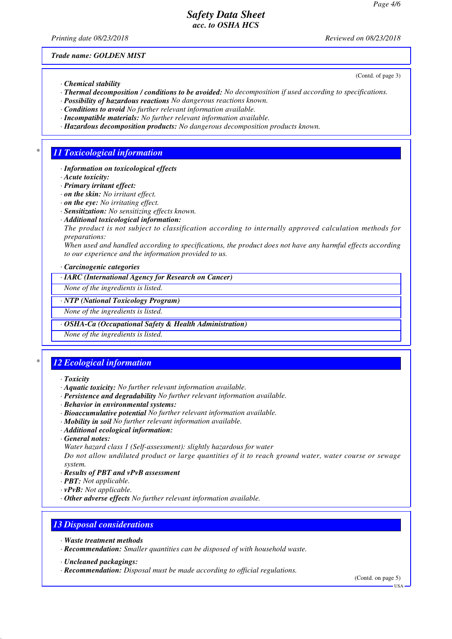*Printing date 08/23/2018 Reviewed on 08/23/2018*

(Contd. of page 3)

*Trade name: GOLDEN MIST*

- *· Chemical stability*
- *· Thermal decomposition / conditions to be avoided: No decomposition if used according to specifications.*
- *· Possibility of hazardous reactions No dangerous reactions known.*
- *· Conditions to avoid No further relevant information available.*
- *· Incompatible materials: No further relevant information available.*
- *· Hazardous decomposition products: No dangerous decomposition products known.*

### *\* 11 Toxicological information*

- *· Information on toxicological effects*
- *· Acute toxicity:*
- *· Primary irritant effect:*
- *· on the skin: No irritant effect.*
- *· on the eye: No irritating effect.*
- *· Sensitization: No sensitizing effects known.*
- *· Additional toxicological information:*
- *The product is not subject to classification according to internally approved calculation methods for preparations:*

*When used and handled according to specifications, the product does not have any harmful effects according to our experience and the information provided to us.*

*· Carcinogenic categories*

*· IARC (International Agency for Research on Cancer)*

*None of the ingredients is listed.*

#### *· NTP (National Toxicology Program)*

*None of the ingredients is listed.*

*· OSHA-Ca (Occupational Safety & Health Administration)*

*None of the ingredients is listed.*

# *\* 12 Ecological information*

- *· Toxicity*
- *· Aquatic toxicity: No further relevant information available.*
- *· Persistence and degradability No further relevant information available.*
- *· Behavior in environmental systems:*
- *· Bioaccumulative potential No further relevant information available.*
- *· Mobility in soil No further relevant information available.*
- *· Additional ecological information:*
- *· General notes:*
- *Water hazard class 1 (Self-assessment): slightly hazardous for water*

*Do not allow undiluted product or large quantities of it to reach ground water, water course or sewage system.*

- *· Results of PBT and vPvB assessment*
- *· PBT: Not applicable.*
- *· vPvB: Not applicable.*
- *· Other adverse effects No further relevant information available.*

### *13 Disposal considerations*

- *· Waste treatment methods*
- *· Recommendation: Smaller quantities can be disposed of with household waste.*
- *· Uncleaned packagings:*
- *· Recommendation: Disposal must be made according to official regulations.*

(Contd. on page 5)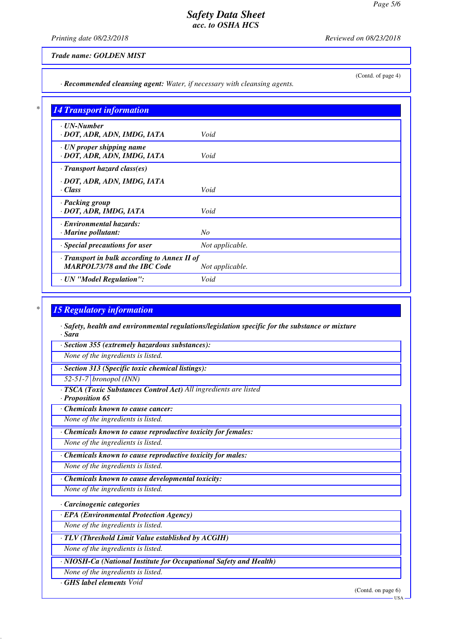*Printing date 08/23/2018 Reviewed on 08/23/2018*

(Contd. of page 4)

### *Trade name: GOLDEN MIST*

*· Recommended cleansing agent: Water, if necessary with cleansing agents.*

| <b>14 Transport information</b>              |                 |
|----------------------------------------------|-----------------|
| $\cdot$ UN-Number                            |                 |
| · DOT, ADR, ADN, IMDG, IATA                  | Void            |
| $\cdot$ UN proper shipping name              |                 |
| · DOT, ADR, ADN, IMDG, IATA                  | Void            |
| $\cdot$ Transport hazard class(es)           |                 |
| · DOT, ADR, ADN, IMDG, IATA                  |                 |
| · Class                                      | Void            |
| · Packing group                              |                 |
| · DOT, ADR, IMDG, IATA                       | Void            |
| · Environmental hazards:                     |                 |
| $\cdot$ Marine pollutant:                    | $N_{O}$         |
| · Special precautions for user               | Not applicable. |
| · Transport in bulk according to Annex II of |                 |
| <b>MARPOL73/78 and the IBC Code</b>          | Not applicable. |
| · UN "Model Regulation":                     | Void            |

### *\* 15 Regulatory information*

*· Safety, health and environmental regulations/legislation specific for the substance or mixture · Sara*

*· Section 355 (extremely hazardous substances):*

*None of the ingredients is listed.*

*· Section 313 (Specific toxic chemical listings):*

*52-51-7 bronopol (INN)*

*· TSCA (Toxic Substances Control Act) All ingredients are listed*

*· Proposition 65*

*· Chemicals known to cause cancer:*

*None of the ingredients is listed.*

*· Chemicals known to cause reproductive toxicity for females:*

*None of the ingredients is listed.*

*· Chemicals known to cause reproductive toxicity for males:*

*None of the ingredients is listed.*

*· Chemicals known to cause developmental toxicity:*

*None of the ingredients is listed.*

*· Carcinogenic categories*

*· EPA (Environmental Protection Agency)*

*None of the ingredients is listed.*

*· TLV (Threshold Limit Value established by ACGIH)*

*None of the ingredients is listed.*

*· NIOSH-Ca (National Institute for Occupational Safety and Health)*

*None of the ingredients is listed.*

*· GHS label elements Void*

(Contd. on page 6)

 $-<sub>USA</sub>$